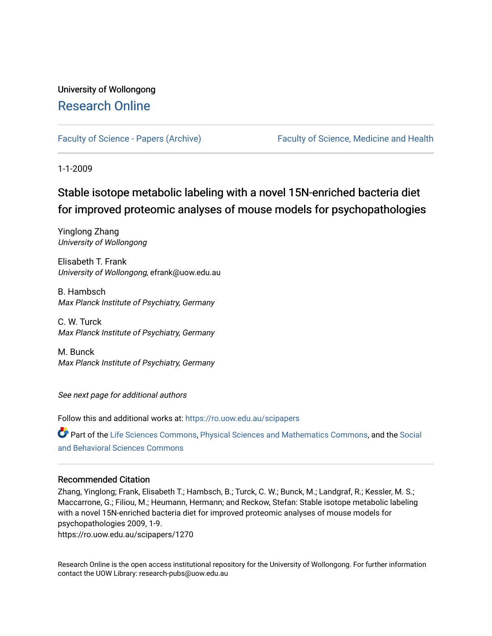# University of Wollongong [Research Online](https://ro.uow.edu.au/)

[Faculty of Science - Papers \(Archive\)](https://ro.uow.edu.au/scipapers) [Faculty of Science, Medicine and Health](https://ro.uow.edu.au/smh) 

1-1-2009

# Stable isotope metabolic labeling with a novel 15N-enriched bacteria diet for improved proteomic analyses of mouse models for psychopathologies

Yinglong Zhang University of Wollongong

Elisabeth T. Frank University of Wollongong, efrank@uow.edu.au

B. Hambsch Max Planck Institute of Psychiatry, Germany

C. W. Turck Max Planck Institute of Psychiatry, Germany

M. Bunck Max Planck Institute of Psychiatry, Germany

See next page for additional authors

Follow this and additional works at: [https://ro.uow.edu.au/scipapers](https://ro.uow.edu.au/scipapers?utm_source=ro.uow.edu.au%2Fscipapers%2F1270&utm_medium=PDF&utm_campaign=PDFCoverPages)

Part of the [Life Sciences Commons,](http://network.bepress.com/hgg/discipline/1016?utm_source=ro.uow.edu.au%2Fscipapers%2F1270&utm_medium=PDF&utm_campaign=PDFCoverPages) [Physical Sciences and Mathematics Commons,](http://network.bepress.com/hgg/discipline/114?utm_source=ro.uow.edu.au%2Fscipapers%2F1270&utm_medium=PDF&utm_campaign=PDFCoverPages) and the [Social](http://network.bepress.com/hgg/discipline/316?utm_source=ro.uow.edu.au%2Fscipapers%2F1270&utm_medium=PDF&utm_campaign=PDFCoverPages)  [and Behavioral Sciences Commons](http://network.bepress.com/hgg/discipline/316?utm_source=ro.uow.edu.au%2Fscipapers%2F1270&utm_medium=PDF&utm_campaign=PDFCoverPages) 

## Recommended Citation

Zhang, Yinglong; Frank, Elisabeth T.; Hambsch, B.; Turck, C. W.; Bunck, M.; Landgraf, R.; Kessler, M. S.; Maccarrone, G.; Filiou, M.; Heumann, Hermann; and Reckow, Stefan: Stable isotope metabolic labeling with a novel 15N-enriched bacteria diet for improved proteomic analyses of mouse models for psychopathologies 2009, 1-9.

https://ro.uow.edu.au/scipapers/1270

Research Online is the open access institutional repository for the University of Wollongong. For further information contact the UOW Library: research-pubs@uow.edu.au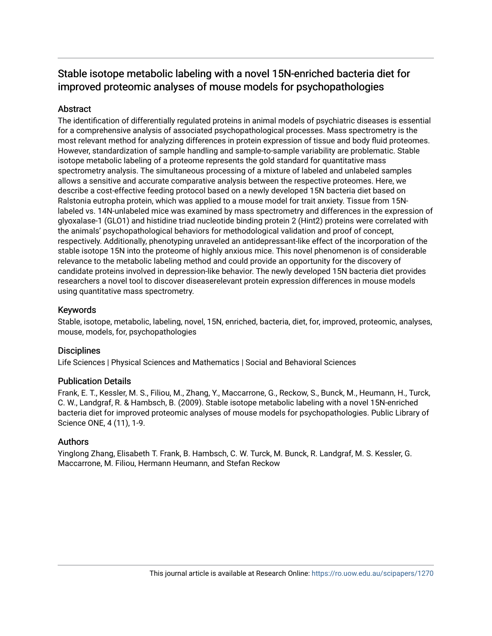# Stable isotope metabolic labeling with a novel 15N-enriched bacteria diet for improved proteomic analyses of mouse models for psychopathologies

## **Abstract**

The identification of differentially regulated proteins in animal models of psychiatric diseases is essential for a comprehensive analysis of associated psychopathological processes. Mass spectrometry is the most relevant method for analyzing differences in protein expression of tissue and body fluid proteomes. However, standardization of sample handling and sample-to-sample variability are problematic. Stable isotope metabolic labeling of a proteome represents the gold standard for quantitative mass spectrometry analysis. The simultaneous processing of a mixture of labeled and unlabeled samples allows a sensitive and accurate comparative analysis between the respective proteomes. Here, we describe a cost-effective feeding protocol based on a newly developed 15N bacteria diet based on Ralstonia eutropha protein, which was applied to a mouse model for trait anxiety. Tissue from 15Nlabeled vs. 14N-unlabeled mice was examined by mass spectrometry and differences in the expression of glyoxalase-1 (GLO1) and histidine triad nucleotide binding protein 2 (Hint2) proteins were correlated with the animals' psychopathological behaviors for methodological validation and proof of concept, respectively. Additionally, phenotyping unraveled an antidepressant-like effect of the incorporation of the stable isotope 15N into the proteome of highly anxious mice. This novel phenomenon is of considerable relevance to the metabolic labeling method and could provide an opportunity for the discovery of candidate proteins involved in depression-like behavior. The newly developed 15N bacteria diet provides researchers a novel tool to discover diseaserelevant protein expression differences in mouse models using quantitative mass spectrometry.

## Keywords

Stable, isotope, metabolic, labeling, novel, 15N, enriched, bacteria, diet, for, improved, proteomic, analyses, mouse, models, for, psychopathologies

## **Disciplines**

Life Sciences | Physical Sciences and Mathematics | Social and Behavioral Sciences

## Publication Details

Frank, E. T., Kessler, M. S., Filiou, M., Zhang, Y., Maccarrone, G., Reckow, S., Bunck, M., Heumann, H., Turck, C. W., Landgraf, R. & Hambsch, B. (2009). Stable isotope metabolic labeling with a novel 15N-enriched bacteria diet for improved proteomic analyses of mouse models for psychopathologies. Public Library of Science ONE, 4 (11), 1-9.

## Authors

Yinglong Zhang, Elisabeth T. Frank, B. Hambsch, C. W. Turck, M. Bunck, R. Landgraf, M. S. Kessler, G. Maccarrone, M. Filiou, Hermann Heumann, and Stefan Reckow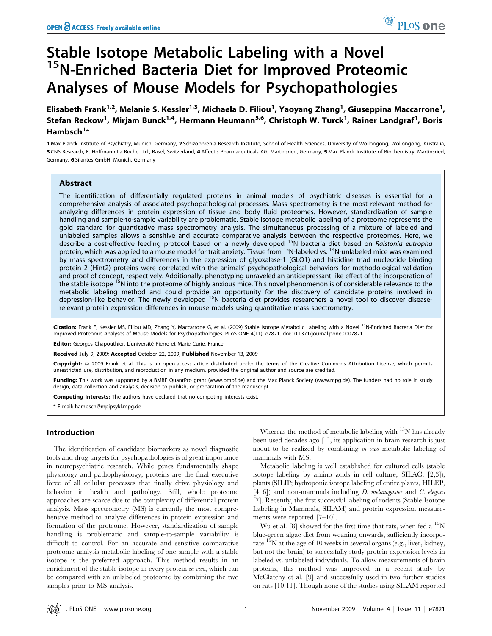# Stable Isotope Metabolic Labeling with a Novel <sup>15</sup>N-Enriched Bacteria Diet for Improved Proteomic Analyses of Mouse Models for Psychopathologies

Elisabeth Frank<sup>1,2</sup>, Melanie S. Kessler<sup>1,3</sup>, Michaela D. Filiou<sup>1</sup>, Yaoyang Zhang<sup>1</sup>, Giuseppina Maccarrone<sup>1</sup>, Stefan Reckow<sup>1</sup>, Mirjam Bunck<sup>1,4</sup>, Hermann Heumann<sup>5,6</sup>, Christoph W. Turck<sup>1</sup>, Rainer Landgraf<sup>1</sup>, Boris Hambsch $1*$ 

1 Max Planck Institute of Psychiatry, Munich, Germany, 2 Schizophrenia Research Institute, School of Health Sciences, University of Wollongong, Wollongong, Australia, 3 CNS Research, F. Hoffmann-La Roche Ltd., Basel, Switzerland, 4 Affectis Pharmaceuticals AG, Martinsried, Germany, 5 Max Planck Institute of Biochemistry, Martinsried, Germany, 6 Silantes GmbH, Munich, Germany

## Abstract

The identification of differentially regulated proteins in animal models of psychiatric diseases is essential for a comprehensive analysis of associated psychopathological processes. Mass spectrometry is the most relevant method for analyzing differences in protein expression of tissue and body fluid proteomes. However, standardization of sample handling and sample-to-sample variability are problematic. Stable isotope metabolic labeling of a proteome represents the gold standard for quantitative mass spectrometry analysis. The simultaneous processing of a mixture of labeled and unlabeled samples allows a sensitive and accurate comparative analysis between the respective proteomes. Here, we describe a cost-effective feeding protocol based on a newly developed <sup>15</sup>N bacteria diet based on Ralstonia eutropha protein, which was applied to a mouse model for trait anxiety. Tissue from 15N-labeled vs. 14N-unlabeled mice was examined by mass spectrometry and differences in the expression of glyoxalase-1 (GLO1) and histidine triad nucleotide binding protein 2 (Hint2) proteins were correlated with the animals' psychopathological behaviors for methodological validation and proof of concept, respectively. Additionally, phenotyping unraveled an antidepressant-like effect of the incorporation of the stable isotope <sup>15</sup>N into the proteome of highly anxious mice. This novel phenomenon is of considerable relevance to the metabolic labeling method and could provide an opportunity for the discovery of candidate proteins involved in<br>depression-like behavior. The newly developed <sup>15</sup>N bacteria diet provides researchers a novel tool to discover relevant protein expression differences in mouse models using quantitative mass spectrometry.

Citation: Frank E, Kessler MS, Filiou MD, Zhang Y, Maccarrone G, et al. (2009) Stable Isotope Metabolic Labeling with a Novel <sup>15</sup>N-Enriched Bacteria Diet for Improved Proteomic Analyses of Mouse Models for Psychopathologies. PLoS ONE 4(11): e7821. doi:10.1371/journal.pone.0007821

Editor: Georges Chapouthier, L'université Pierre et Marie Curie, France

Received July 9, 2009; Accepted October 22, 2009; Published November 13, 2009

Copyright: @ 2009 Frank et al. This is an open-access article distributed under the terms of the Creative Commons Attribution License, which permits unrestricted use, distribution, and reproduction in any medium, provided the original author and source are credited.

Funding: This work was supported by a BMBF QuantPro grant (www.bmbf.de) and the Max Planck Society (www.mpg.de). The funders had no role in study design, data collection and analysis, decision to publish, or preparation of the manuscript.

Competing Interests: The authors have declared that no competing interests exist.

\* E-mail: hambsch@mpipsykl.mpg.de

## Introduction

The identification of candidate biomarkers as novel diagnostic tools and drug targets for psychopathologies is of great importance in neuropsychiatric research. While genes fundamentally shape physiology and pathophysiology, proteins are the final executive force of all cellular processes that finally drive physiology and behavior in health and pathology. Still, whole proteome approaches are scarce due to the complexity of differential protein analysis. Mass spectrometry (MS) is currently the most comprehensive method to analyze differences in protein expression and formation of the proteome. However, standardization of sample handling is problematic and sample-to-sample variability is difficult to control. For an accurate and sensitive comparative proteome analysis metabolic labeling of one sample with a stable isotope is the preferred approach. This method results in an enrichment of the stable isotope in every protein in vivo, which can be compared with an unlabeled proteome by combining the two samples prior to MS analysis.

Whereas the method of metabolic labeling with  $15N$  has already been used decades ago [1], its application in brain research is just about to be realized by combining in vivo metabolic labeling of mammals with MS.

Metabolic labeling is well established for cultured cells (stable isotope labeling by amino acids in cell culture, SILAC, [2,3]), plants (SILIP; hydroponic isotope labeling of entire plants, HILEP,  $[4–6]$ ) and non-mammals including *D. melanogaster* and *C. elegans* [7]. Recently, the first successful labeling of rodents (Stable Isotope Labeling in Mammals, SILAM) and protein expression measurements were reported [7–10].

Wu et al. [8] showed for the first time that rats, when fed a  $^{15}N$ blue-green algae diet from weaning onwards, sufficiently incorporate  $15N$  at the age of 10 weeks in several organs (e.g., liver, kidney, but not the brain) to successfully study protein expression levels in labeled vs. unlabeled individuals. To allow measurements of brain proteins, this method was improved in a recent study by McClatchy et al. [9] and successfully used in two further studies on rats [10,11]. Though none of the studies using SILAM reported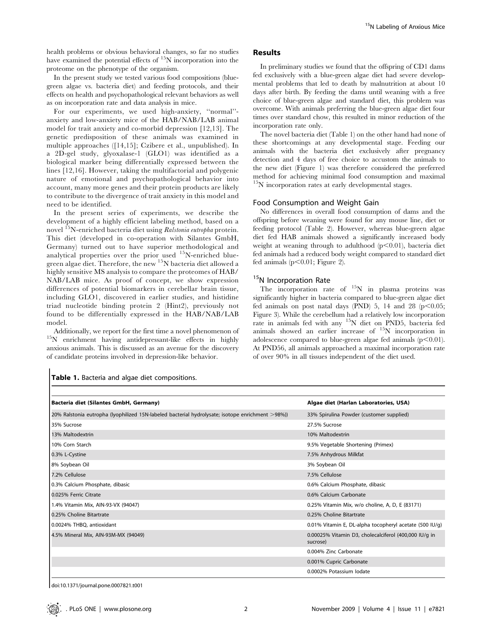health problems or obvious behavioral changes, so far no studies have examined the potential effects of <sup>15</sup>N incorporation into the proteome on the phenotype of the organism.

In the present study we tested various food compositions (bluegreen algae vs. bacteria diet) and feeding protocols, and their effects on health and psychopathological relevant behaviors as well as on incorporation rate and data analysis in mice.

For our experiments, we used high-anxiety, ''normal'' anxiety and low-anxiety mice of the HAB/NAB/LAB animal model for trait anxiety and co-morbid depression [12,13]. The genetic predisposition of these animals was examined in multiple approaches ([14,15]; Czibere et al., unpublished). In a 2D-gel study, glyoxalase-1 (GLO1) was identified as a biological marker being differentially expressed between the lines [12,16]. However, taking the multifactorial and polygenic nature of emotional and psychopathological behavior into account, many more genes and their protein products are likely to contribute to the divergence of trait anxiety in this model and need to be identified.

In the present series of experiments, we describe the development of a highly efficient labeling method, based on a novel <sup>15</sup>N-enriched bacteria diet using Ralstonia eutropha protein. This diet (developed in co-operation with Silantes GmbH, Germany) turned out to have superior methodological and analytical properties over the prior used <sup>15</sup>N-enriched bluegreen algae diet. Therefore, the new 15N bacteria diet allowed a highly sensitive MS analysis to compare the proteomes of HAB/ NAB/LAB mice. As proof of concept, we show expression differences of potential biomarkers in cerebellar brain tissue, including GLO1, discovered in earlier studies, and histidine triad nucleotide binding protein 2 (Hint2), previously not found to be differentially expressed in the HAB/NAB/LAB model.

Additionally, we report for the first time a novel phenomenon of  $^{15}N$  enrichment having antidepressant-like effects in highly anxious animals. This is discussed as an avenue for the discovery of candidate proteins involved in depression-like behavior.

## Results

In preliminary studies we found that the offspring of CD1 dams fed exclusively with a blue-green algae diet had severe developmental problems that led to death by malnutrition at about 10 days after birth. By feeding the dams until weaning with a free choice of blue-green algae and standard diet, this problem was overcome. With animals preferring the blue-green algae diet four times over standard chow, this resulted in minor reduction of the incorporation rate only.

The novel bacteria diet (Table 1) on the other hand had none of these shortcomings at any developmental stage. Feeding our animals with the bacteria diet exclusively after pregnancy detection and 4 days of free choice to accustom the animals to the new diet (Figure 1) was therefore considered the preferred method for achieving minimal food consumption and maximal <sup>15</sup>N incorporation rates at early developmental stages.

## Food Consumption and Weight Gain

No differences in overall food consumption of dams and the offspring before weaning were found for any mouse line, diet or feeding protocol (Table 2). However, whereas blue-green algae diet fed HAB animals showed a significantly increased body weight at weaning through to adulthood  $(p<0.01)$ , bacteria diet fed animals had a reduced body weight compared to standard diet fed animals  $(p<0.01;$  Figure 2).

## <sup>15</sup>N Incorporation Rate

The incorporation rate of  $15N$  in plasma proteins was significantly higher in bacteria compared to blue-green algae diet fed animals on post natal days (PND) 5, 14 and 28 ( $p$ <0.05; Figure 3). While the cerebellum had a relatively low incorporation rate in animals fed with any 15N diet on PND5, bacteria fed animals showed an earlier increase of 15N incorporation in adolescence compared to blue-green algae fed animals  $(p<0.01)$ . At PND56, all animals approached a maximal incorporation rate of over 90% in all tissues independent of the diet used.

| Table 1. Bacteria and algae diet compositions. |
|------------------------------------------------|

| Bacteria diet (Silantes GmbH, Germany)                                                           | Algae diet (Harlan Laboratories, USA)                             |
|--------------------------------------------------------------------------------------------------|-------------------------------------------------------------------|
| 20% Ralstonia eutropha (lyophilized 15N-labeled bacterial hydrolysate; isotope enrichment >98%)) | 33% Spirulina Powder (customer supplied)                          |
| 35% Sucrose                                                                                      | 27.5% Sucrose                                                     |
| 13% Maltodextrin                                                                                 | 10% Maltodextrin                                                  |
| 10% Corn Starch                                                                                  | 9.5% Vegetable Shortening (Primex)                                |
| 0.3% L-Cystine                                                                                   | 7.5% Anhydrous Milkfat                                            |
| 8% Soybean Oil                                                                                   | 3% Soybean Oil                                                    |
| 7.2% Cellulose                                                                                   | 7.5% Cellulose                                                    |
| 0.3% Calcium Phosphate, dibasic                                                                  | 0.6% Calcium Phosphate, dibasic                                   |
| 0.025% Ferric Citrate                                                                            | 0.6% Calcium Carbonate                                            |
| 1.4% Vitamin Mix, AIN-93-VX (94047)                                                              | 0.25% Vitamin Mix, w/o choline, A, D, E (83171)                   |
| 0.25% Choline Bitartrate                                                                         | 0.25% Choline Bitartrate                                          |
| 0.0024% THBQ, antioxidant                                                                        | 0.01% Vitamin E, DL-alpha tocopheryl acetate (500 IU/g)           |
| 4.5% Mineral Mix, AIN-93M-MX (94049)                                                             | 0.00025% Vitamin D3, cholecalciferol (400,000 IU/g in<br>sucrose) |
|                                                                                                  | 0.004% Zinc Carbonate                                             |
|                                                                                                  | 0.001% Cupric Carbonate                                           |
|                                                                                                  | 0.0002% Potassium Iodate                                          |

doi:10.1371/journal.pone.0007821.t001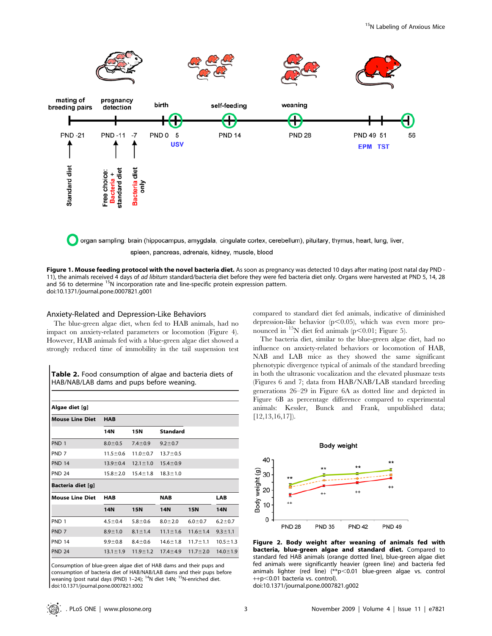

organ sampling: brain (hippocampus, amygdala, cingulate cortex, cerebellum), pituitary, thymus, heart, lung, liver, spleen, pancreas, adrenals, kidney, muscle, blood

Figure 1. Mouse feeding protocol with the novel bacteria diet. As soon as pregnancy was detected 10 days after mating (post natal day PND -11), the animals received 4 days of ad libitum standard/bacteria diet before they were fed bacteria diet only. Organs were harvested at PND 5, 14, 28 and 56 to determine <sup>15</sup>N incorporation rate and line-specific protein expression pattern. doi:10.1371/journal.pone.0007821.g001

## Anxiety-Related and Depression-Like Behaviors

The blue-green algae diet, when fed to HAB animals, had no impact on anxiety-related parameters or locomotion (Figure 4). However, HAB animals fed with a blue-green algae diet showed a strongly reduced time of immobility in the tail suspension test

| Table 2. Food consumption of algae and bacteria diets of |  |  |  |  |
|----------------------------------------------------------|--|--|--|--|
| HAB/NAB/LAB dams and pups before weaning.                |  |  |  |  |

| Algae diet [g]         |                |                |                 |                |                |
|------------------------|----------------|----------------|-----------------|----------------|----------------|
| <b>Mouse Line Diet</b> | <b>HAB</b>     |                |                 |                |                |
|                        | 14N            | 15N            | <b>Standard</b> |                |                |
| PND <sub>1</sub>       | $8.0 \pm 0.5$  | $7.4 \pm 0.9$  | $9.2 \pm 0.7$   |                |                |
| PND <sub>7</sub>       | $11.5 \pm 0.6$ | $11.0 \pm 0.7$ | $13.7 \pm 0.5$  |                |                |
| <b>PND 14</b>          | $13.9 \pm 0.4$ | $12.1 \pm 1.0$ | $15.4 \pm 0.9$  |                |                |
| <b>PND 24</b>          | $15.8 \pm 2.0$ | $15.4 \pm 1.8$ | $18.3 \pm 1.0$  |                |                |
| Bacteria diet [g]      |                |                |                 |                |                |
| <b>Mouse Line Diet</b> | <b>HAB</b>     |                | <b>NAB</b>      |                | <b>LAB</b>     |
|                        | 14N            | <b>15N</b>     | <b>14N</b>      | <b>15N</b>     | 14N            |
| PND <sub>1</sub>       | $4.5 \pm 0.4$  | $5.8 \pm 0.6$  | $8.0 \pm 2.0$   | $6.0 + 0.7$    | $6.2 \pm 0.7$  |
| PND <sub>7</sub>       | $8.9 + 1.0$    | $8.1 \pm 1.4$  | $11.1 \pm 1.6$  | $11.6 \pm 1.4$ | $9.3 \pm 1.1$  |
| <b>PND 14</b>          | $9.9 + 0.8$    | $8.4 \pm 0.6$  | $14.6 \pm 1.8$  | $11.7 \pm 1.1$ | $10.5 \pm 1.3$ |
| <b>PND 24</b>          | $13.1 \pm 1.9$ | $11.9 \pm 1.2$ | $17.4 \pm 4.9$  | $11.7 \pm 2.0$ | $14.0 \pm 1.9$ |

Consumption of blue-green algae diet of HAB dams and their pups and consumption of bacteria diet of HAB/NAB/LAB dams and their pups before weaning (post natal days (PND) 1-24); <sup>14</sup>N diet 14N; <sup>15</sup>N-enriched diet. doi:10.1371/journal.pone.0007821.t002

compared to standard diet fed animals, indicative of diminished depression-like behavior  $(p<0.05)$ , which was even more pronounced in  $^{15}N$  diet fed animals (p $\leq$ 0.01; Figure 5).

The bacteria diet, similar to the blue-green algae diet, had no influence on anxiety-related behaviors or locomotion of HAB, NAB and LAB mice as they showed the same significant phenotypic divergence typical of animals of the standard breeding in both the ultrasonic vocalization and the elevated plusmaze tests (Figures 6 and 7; data from HAB/NAB/LAB standard breeding generations 26–29 in Figure 6A as dotted line and depicted in Figure 6B as percentage difference compared to experimental animals: Kessler, Bunck and Frank, unpublished data; [12,13,16,17]).



Figure 2. Body weight after weaning of animals fed with bacteria, blue-green algae and standard diet. Compared to standard fed HAB animals (orange dotted line), blue-green algae diet fed animals were significantly heavier (green line) and bacteria fed animals lighter (red line)  $(*p<0.01$  blue-green algae vs. control ++p<0.01 bacteria vs. control).

doi:10.1371/journal.pone.0007821.g002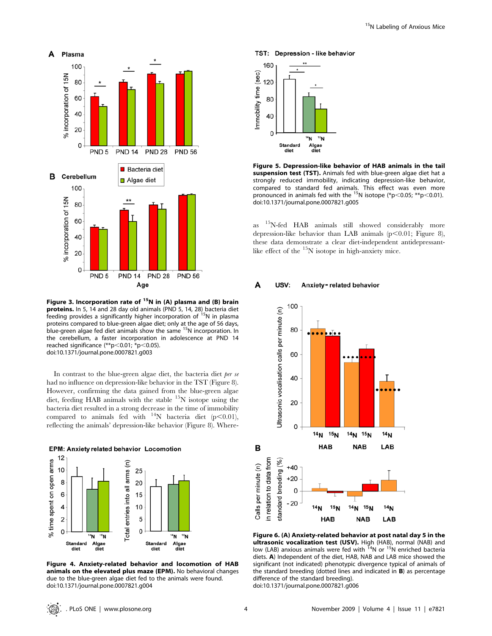

Figure 3. Incorporation rate of  $15N$  in (A) plasma and (B) brain proteins. In 5, 14 and 28 day old animals (PND 5, 14, 28) bacteria diet feeding provides a significantly higher incorporation of  $15N$  in plasma proteins compared to blue-green algae diet; only at the age of 56 days,<br>blue-green algae fed diet animals show the same <sup>15</sup>N incorporation. In the cerebellum, a faster incorporation in adolescence at PND 14 reached significance  $(*p<0.01; *p<0.05)$ . doi:10.1371/journal.pone.0007821.g003

In contrast to the blue-green algae diet, the bacteria diet per se had no influence on depression-like behavior in the TST (Figure 8). However, confirming the data gained from the blue-green algae diet, feeding HAB animals with the stable 15N isotope using the bacteria diet resulted in a strong decrease in the time of immobility compared to animals fed with  $^{14}N$  bacteria diet (p<0.01), reflecting the animals' depression-like behavior (Figure 8). Where-



Figure 4. Anxiety-related behavior and locomotion of HAB animals on the elevated plus maze (EPM). No behavioral changes due to the blue-green algae diet fed to the animals were found. doi:10.1371/journal.pone.0007821.g004

### TST: Depression - like behavior



Figure 5. Depression-like behavior of HAB animals in the tail suspension test (TST). Animals fed with blue-green algae diet hat a strongly reduced immobility, indicating depression-like behavior, compared to standard fed animals. This effect was even more pronounced in animals fed with the <sup>15</sup>N isotope (\*p<0.05; \*\*p<0.01). doi:10.1371/journal.pone.0007821.g005

as 15N-fed HAB animals still showed considerably more depression-like behavior than LAB animals (p $<$ 0.01; Figure 8), these data demonstrate a clear diet-independent antidepressantlike effect of the  $15N$  isotope in high-anxiety mice.

#### A USV: Anxiety-related behavior



Figure 6. (A) Anxiety-related behavior at post natal day 5 in the **ultrasonic vocalization test (USV).** High (HAB), normal (NAB) and<br>low (LAB) anxious animals were fed with <sup>14</sup>N or <sup>15</sup>N enriched bacteria diets. A) Independent of the diet, HAB, NAB and LAB mice showed the significant (not indicated) phenotypic divergence typical of animals of the standard breeding (dotted lines and indicated in B) as percentage difference of the standard breeding).

doi:10.1371/journal.pone.0007821.g006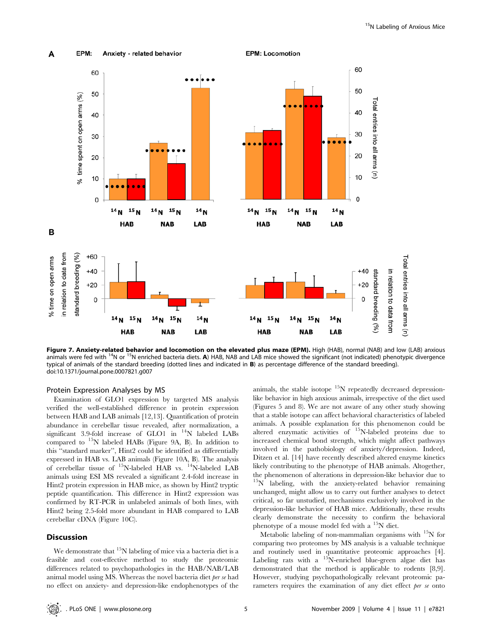

Figure 7. Anxiety-related behavior and locomotion on the elevated plus maze (EPM). High (HAB), normal (NAB) and low (LAB) anxious animals were fed with <sup>14</sup>N or <sup>15</sup>N enriched bacteria diets. A) HAB, NAB and LAB mice showed the significant (not indicated) phenotypic divergence typical of animals of the standard breeding (dotted lines and indicated in B) as percentage difference of the standard breeding). doi:10.1371/journal.pone.0007821.g007

## Protein Expression Analyses by MS

Examination of GLO1 expression by targeted MS analysis verified the well-established difference in protein expression between HAB and LAB animals [12,13]. Quantification of protein abundance in cerebellar tissue revealed, after normalization, a significant 3.9-fold increase of GLO1 in  $14N$  labeled LABs compared to 15N labeled HABs (Figure 9A, B). In addition to this ''standard marker'', Hint2 could be identified as differentially expressed in HAB vs. LAB animals (Figure 10A, B). The analysis of cerebellar tissue of 15N-labeled HAB vs. 14N-labeled LAB animals using ESI MS revealed a significant 2.4-fold increase in Hint2 protein expression in HAB mice, as shown by Hint2 tryptic peptide quantification. This difference in Hint2 expression was confirmed by RT-PCR in unlabeled animals of both lines, with Hint2 being 2.5-fold more abundant in HAB compared to LAB cerebellar cDNA (Figure 10C).

### **Discussion**

We demonstrate that  $15N$  labeling of mice via a bacteria diet is a feasible and cost-effective method to study the proteomic differences related to psychopathologies in the HAB/NAB/LAB animal model using MS. Whereas the novel bacteria diet per se had no effect on anxiety- and depression-like endophenotypes of the

animals, the stable isotope  $15N$  repeatedly decreased depressionlike behavior in high anxious animals, irrespective of the diet used (Figures 5 and 8). We are not aware of any other study showing that a stable isotope can affect behavioral characteristics of labeled animals. A possible explanation for this phenomenon could be altered enzymatic activities of 15N-labeled proteins due to increased chemical bond strength, which might affect pathways involved in the pathobiology of anxiety/depression. Indeed, Ditzen et al. [14] have recently described altered enzyme kinetics likely contributing to the phenotype of HAB animals. Altogether, the phenomenon of alterations in depression-like behavior due to  $15N$  labeling, with the anxiety-related behavior remaining unchanged, might allow us to carry out further analyses to detect critical, so far unstudied, mechanisms exclusively involved in the depression-like behavior of HAB mice. Additionally, these results clearly demonstrate the necessity to confirm the behavioral phenotype of a mouse model fed with a 15N diet.

Metabolic labeling of non-mammalian organisms with  $15N$  for comparing two proteomes by MS analysis is a valuable technique and routinely used in quantitative proteomic approaches [4]. Labeling rats with a  $15N$ -enriched blue-green algae diet has demonstrated that the method is applicable to rodents [8,9]. However, studying psychopathologically relevant proteomic parameters requires the examination of any diet effect per se onto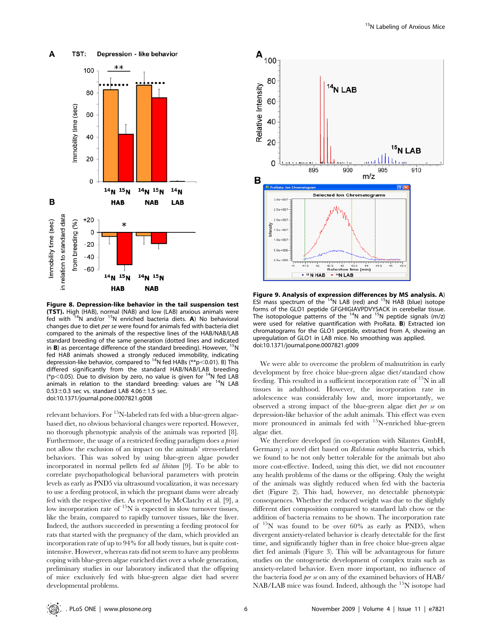

Figure 8. Depression-like behavior in the tail suspension test (TST). High (HAB), normal (NAB) and low (LAB) anxious animals were fed with 14N and/or 15N enriched bacteria diets. A) No behavioral changes due to diet per se were found for animals fed with bacteria diet compared to the animals of the respective lines of the HAB/NAB/LAB standard breeding of the same generation (dotted lines and indicated in **B**) as percentage difference of the standard breeding). However,  $15$ N fed HAB animals showed a strongly reduced immobility, indicating depression-like behavior, compared to <sup>14</sup>N fed HABs (\*\*p $<$ 0.01). B) This differed significantly from the standard HAB/NAB/LAB breeding (\*p<0.05). Due to division by zero, no value is given for  $14N$  fed LAB animals in relation to the standard breeding: values are  $14N$  LAB  $0.53\pm0.3$  sec vs. standard LAB 4.06 $\pm1.5$  sec. doi:10.1371/journal.pone.0007821.g008

relevant behaviors. For <sup>15</sup>N-labeled rats fed with a blue-green algaebased diet, no obvious behavioral changes were reported. However, no thorough phenotypic analysis of the animals was reported [8]. Furthermore, the usage of a restricted feeding paradigm does a priori not allow the exclusion of an impact on the animals' stress-related behaviors. This was solved by using blue-green algae powder incorporated in normal pellets fed ad libitum [9]. To be able to correlate psychopathological behavioral parameters with protein levels as early as PND5 via ultrasound vocalization, it was necessary to use a feeding protocol, in which the pregnant dams were already fed with the respective diet. As reported by McClatchy et al. [9], a low incorporation rate of <sup>15</sup>N is expected in slow turnover tissues, like the brain, compared to rapidly turnover tissues, like the liver. Indeed, the authors succeeded in presenting a feeding protocol for rats that started with the pregnancy of the dam, which provided an incorporation rate of up to 94% for all body tissues, but is quite costintensive. However, whereas rats did not seem to have any problems coping with blue-green algae enriched diet over a whole generation, preliminary studies in our laboratory indicated that the offspring of mice exclusively fed with blue-green algae diet had severe developmental problems.



Figure 9. Analysis of expression differences by MS analysis. A) ESI mass spectrum of the  $14N$  LAB (red) and  $15N$  HAB (blue) isotope forms of the GLO1 peptide GFGHIGIAVPDVYSACK in cerebellar tissue. The isotopologue patterns of the  $14N$  and  $15N$  peptide signals (m/z) were used for relative quantification with ProRata. B) Extracted ion chromatograms for the GLO1 peptide, extracted from A, showing an upregulation of GLO1 in LAB mice. No smoothing was applied. doi:10.1371/journal.pone.0007821.g009

We were able to overcome the problem of malnutrition in early development by free choice blue-green algae diet/standard chow feeding. This resulted in a sufficient incorporation rate of  $15N$  in all tissues in adulthood. However, the incorporation rate in adolescence was considerably low and, more importantly, we observed a strong impact of the blue-green algae diet per se on depression-like behavior of the adult animals. This effect was even more pronounced in animals fed with <sup>15</sup>N-enriched blue-green algae diet.

We therefore developed (in co-operation with Silantes GmbH, Germany) a novel diet based on Ralstonia eutropha bacteria, which we found to be not only better tolerable for the animals but also more cost-effective. Indeed, using this diet, we did not encounter any health problems of the dams or the offspring. Only the weight of the animals was slightly reduced when fed with the bacteria diet (Figure 2). This had, however, no detectable phenotypic consequences. Whether the reduced weight was due to the slightly different diet composition compared to standard lab chow or the addition of bacteria remains to be shown. The incorporation rate of  $15<sup>N</sup>$  was found to be over 60% as early as PND5, when divergent anxiety-related behavior is clearly detectable for the first time, and significantly higher than in free choice blue-green algae diet fed animals (Figure 3). This will be advantageous for future studies on the ontogenetic development of complex traits such as anxiety-related behavior. Even more important, no influence of the bacteria food per se on any of the examined behaviors of HAB/  $NAB/LAB$  mice was found. Indeed, although the  $15N$  isotope had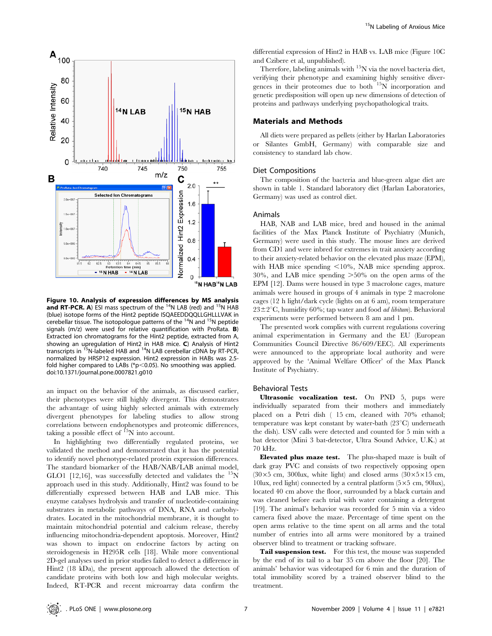

Figure 10. Analysis of expression differences by MS analysis and RT-PCR. A) ESI mass spectrum of the  $14N$  LAB (red) and  $15N$  HAB (blue) isotope forms of the Hint2 peptide ISQAEEDDQQLLGHLLLVAK in cerebellar tissue. The isotopologue patterns of the  $14N$  and  $15N$  peptide signals (m/z) were used for relative quantification with ProRata. **B**) Extracted ion chromatograms for the Hint2 peptide, extracted from A, showing an upregulation of Hint2 in HAB mice. C) Analysis of Hint2 transcripts in <sup>15</sup>N-labeled HAB and <sup>14</sup>N LAB cerebellar cDNA by RT-PCR, normalized by HRSP12 expression. Hint2 expression in HABs was 2.5 fold higher compared to LABs ( $p$ <0.05). No smoothing was applied. doi:10.1371/journal.pone.0007821.g010

an impact on the behavior of the animals, as discussed earlier, their phenotypes were still highly divergent. This demonstrates the advantage of using highly selected animals with extremely divergent phenotypes for labeling studies to allow strong correlations between endophenotypes and proteomic differences, taking a possible effect of  ${}^{15}N$  into account.

In highlighting two differentially regulated proteins, we validated the method and demonstrated that it has the potential to identify novel phenotype-related protein expression differences. The standard biomarker of the HAB/NAB/LAB animal model, GLO1 [12,16], was successfully detected and validates the  $15$ N approach used in this study. Additionally, Hint2 was found to be differentially expressed between HAB and LAB mice. This enzyme catalyses hydrolysis and transfer of nucleotide-containing substrates in metabolic pathways of DNA, RNA and carbohydrates. Located in the mitochondrial membrane, it is thought to maintain mitochondrial potential and calcium release, thereby influencing mitochondria-dependent apoptosis. Moreover, Hint2 was shown to impact on endocrine factors by acting on steroidogenesis in H295R cells [18]. While more conventional 2D-gel analyses used in prior studies failed to detect a difference in Hint2 (18 kDa), the present approach allowed the detection of candidate proteins with both low and high molecular weights. Indeed, RT-PCR and recent microarray data confirm the differential expression of Hint2 in HAB vs. LAB mice (Figure 10C and Czibere et al, unpublished).

Therefore, labeling animals with  $15N$  via the novel bacteria diet, verifying their phenotype and examining highly sensitive divergences in their proteomes due to both  $15\text{N}$  incorporation and genetic predisposition will open up new dimensions of detection of proteins and pathways underlying psychopathological traits.

## Materials and Methods

All diets were prepared as pellets (either by Harlan Laboratories or Silantes GmbH, Germany) with comparable size and consistency to standard lab chow.

### Diet Compositions

The composition of the bacteria and blue-green algae diet are shown in table 1. Standard laboratory diet (Harlan Laboratories, Germany) was used as control diet.

## Animals

HAB, NAB and LAB mice, bred and housed in the animal facilities of the Max Planck Institute of Psychiatry (Munich, Germany) were used in this study. The mouse lines are derived from CD1 and were inbred for extremes in trait anxiety according to their anxiety-related behavior on the elevated plus maze (EPM), with HAB mice spending  $\langle 10\% \rangle$ , NAB mice spending approx.  $30\%$ , and LAB mice spending  $>50\%$  on the open arms of the EPM [12]. Dams were housed in type 3 macrolone cages, mature animals were housed in groups of 4 animals in type 2 macrolone cages (12 h light/dark cycle (lights on at 6 am), room temperature  $23\pm2\degree$ C, humidity 60%; tap water and food *ad libitum*). Behavioral experiments were performed between 8 am and 1 pm.

The presented work complies with current regulations covering animal experimentation in Germany and the EU (European Communities Council Directive 86/609/EEC). All experiments were announced to the appropriate local authority and were approved by the 'Animal Welfare Officer' of the Max Planck Institute of Psychiatry.

### Behavioral Tests

Ultrasonic vocalization test. On PND 5, pups were individually separated from their mothers and immediately placed on a Petri dish ( 15 cm, cleaned with 70% ethanol; temperature was kept constant by water-bath  $(23^{\circ}C)$  underneath the dish). USV calls were detected and counted for 5 min with a bat detector (Mini 3 bat-detector, Ultra Sound Advice, U.K.) at 70 kHz.

Elevated plus maze test. The plus-shaped maze is built of dark gray PVC and consists of two respectively opposing open (30 $\times$ 5 cm, 300lux, white light) and closed arms (30 $\times$ 5 $\times$ 15 cm, 10lux, red light) connected by a central platform  $(5\times5$  cm, 90lux), located 40 cm above the floor, surrounded by a black curtain and was cleaned before each trial with water containing a detergent [19]. The animal's behavior was recorded for 5 min via a video camera fixed above the maze. Percentage of time spent on the open arms relative to the time spent on all arms and the total number of entries into all arms were monitored by a trained observer blind to treatment or tracking software.

Tail suspension test. For this test, the mouse was suspended by the end of its tail to a bar 35 cm above the floor [20]. The animals' behavior was videotaped for 6 min and the duration of total immobility scored by a trained observer blind to the treatment.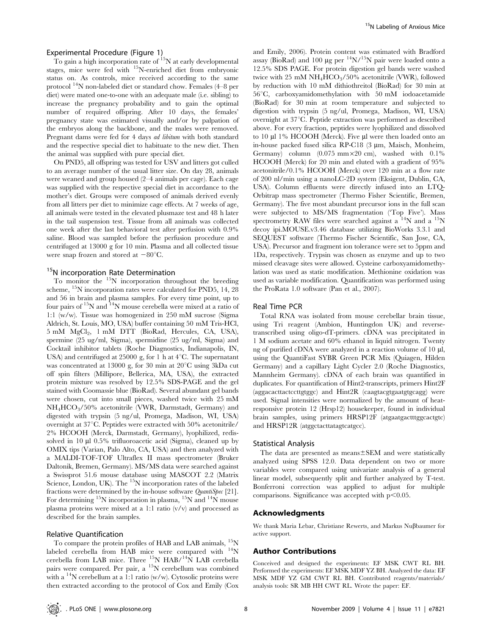## Experimental Procedure (Figure 1)

To gain a high incorporation rate of 15N at early developmental stages, mice were fed with 15N-enriched diet from embryonic status on. As controls, mice received according to the same protocol 14N non-labeled diet or standard chow. Females (4–8 per diet) were mated one-to-one with an adequate male (i.e. sibling) to increase the pregnancy probability and to gain the optimal number of required offspring. After 10 days, the females' pregnancy state was estimated visually and/or by palpation of the embryos along the backbone, and the males were removed. Pregnant dams were fed for 4 days *ad libitum* with both standard and the respective special diet to habituate to the new diet. Then the animal was supplied with pure special diet.

On PND5, all offspring was tested for USV and litters got culled to an average number of the usual litter size. On day 28, animals were weaned and group housed (2–4 animals per cage). Each cage was supplied with the respective special diet in accordance to the mother's diet. Groups were composed of animals derived evenly from all litters per diet to minimize cage effects. At 7 weeks of age, all animals were tested in the elevated plusmaze test and 48 h later in the tail suspension test. Tissue from all animals was collected one week after the last behavioral test after perfusion with 0.9% saline. Blood was sampled before the perfusion procedure and centrifuged at 13000 g for 10 min. Plasma and all collected tissue were snap frozen and stored at  $-80^{\circ}$ C.

## <sup>15</sup>N incorporation Rate Determination

To monitor the  $15N$  incorporation throughout the breeding scheme, <sup>15</sup>N incorporation rates were calculated for PND5, 14, 28 and 56 in brain and plasma samples. For every time point, up to four pairs of 15N and 14N mouse cerebella were mixed at a ratio of 1:1 (w/w). Tissue was homogenized in 250 mM sucrose (Sigma Aldrich, St. Louis, MO, USA) buffer containing 50 mM Tris-HCl, 5 mM MgCl<sub>2</sub>, 1 mM DTT (BioRad, Hercules, CA, USA), spermine (25 ug/ml, Sigma), spermidine (25 ug/ml, Sigma) and Cocktail inhibitor tablets (Roche Diagnostics, Indianapolis, IN, USA) and centrifuged at 25000 g, for 1 h at  $4^{\circ}$ C. The supernatant was concentrated at 13000 g, for 30 min at  $20^{\circ}$ C using 3kDa cut off spin filters (Millipore, Bellerica, MA, USA), the extracted protein mixture was resolved by 12.5% SDS-PAGE and the gel stained with Coomassie blue (BioRad). Several abundant gel bands were chosen, cut into small pieces, washed twice with 25 mM NH4HCO3/50% acetonitrile (VWR, Darmstadt, Germany) and digested with trypsin (5 ng/ul, Promega, Madison, WI, USA) overnight at  $37^{\circ}$ C. Peptides were extracted with 50% acetonitrile/ 2% HCOOH (Merck, Darmstadt, Germany), lyophilized, redissolved in  $10 \mu l$  0.5% trifluoroacetic acid (Sigma), cleaned up by OMIX tips (Varian, Palo Alto, CA, USA) and then analyzed with a MALDI-TOF-TOF Ultraflex II mass spectrometer (Bruker Daltonik, Bremen, Germany). MS/MS data were searched against a Swissprot 51.6 mouse database using MASCOT 2.2 (Matrix Science, London, UK). The <sup>15</sup>N incorporation rates of the labeled fractions were determined by the in-house software QuantiSpec [21]. For determining  $^{15}N$  incorporation in plasma,  $^{15}N$  and  $^{14}N$  mouse plasma proteins were mixed at a 1:1 ratio (v/v) and processed as described for the brain samples.

### Relative Quantification

To compare the protein profiles of HAB and LAB animals, <sup>15</sup>N labeled cerebella from HAB mice were compared with  $^{14}$ N cerebella from LAB mice. Three  $^{15}_{10}$ N HAB/<sup>14</sup>N LAB cerebella pairs were compared. Per pair, a <sup>15</sup>N cerebellum was combined with a  $14$ N cerebellum at a 1:1 ratio (w/w). Cytosolic proteins were then extracted according to the protocol of Cox and Emily (Cox and Emily, 2006). Protein content was estimated with Bradford assay (BioRad) and 100 µg per  $14N/15N$  pair were loaded onto a 12.5% SDS PAGE. For protein digestion gel bands were washed twice with 25 mM  $NH_4HCO_3/50\%$  acetonitrile (VWR), followed by reduction with 10 mM dithiothreitol (BioRad) for 30 min at  $56^{\circ}$ C, carboxyamidomethylation with  $50 \text{ mM}$  iodoacetamide (BioRad) for 30 min at room temperature and subjected to digestion with trypsin (5 ng/ul, Promega, Madison, WI, USA) overnight at  $37^{\circ}$ C. Peptide extraction was performed as described above. For every fraction, peptides were lyophilized and dissolved to 10 µl 1% HCOOH (Merck). Five µl were then loaded onto an in-house packed fused silica RP-C18 (3 µm, Maisch, Monheim, Germany) column  $(0.075 \text{ mm} \times 20 \text{ cm})$ , washed with  $0.1\%$ HCOOH (Merck) for 20 min and eluted with a gradient of 95% acetonitrile/0.1% HCOOH (Merck) over 120 min at a flow rate of 200 nl/min using a nanoLC-2D system (Eksigent, Dublin, CA, USA). Column effluents were directly infused into an LTQ-Orbitrap mass spectrometer (Thermo Fisher Scientific, Bremen, Germany). The five most abundant precursor ions in the full scan were subjected to MS/MS fragmentation ('Top Five'). Mass spectrometry RAW files were searched against a  $^{14}$ N and a  $^{15}$ N decoy ipi.MOUSE.v3.46 database utilizing BioWorks 3.3.1 and SEQUEST software (Thermo Fischer Scientific, San Jose, CA, USA). Precursor and fragment ion tolerance were set to 5ppm and 1Da, respectively. Trypsin was chosen as enzyme and up to two missed cleavage sites were allowed. Cysteine carboxyamidomethylation was used as static modification. Methionine oxidation was used as variable modification. Quantification was performed using the ProRata 1.0 software (Pan et al., 2007).

### Real Time PCR

Total RNA was isolated from mouse cerebellar brain tissue, using Tri reagent (Ambion, Huntingdon UK) and reversetranscribed using oligo-dT-primers. cDNA was precipitated in 1 M sodium acetate and 60% ethanol in liquid nitrogen. Twenty ng of purified cDNA were analyzed in a reaction volume of  $10 \mu$ l, using the QuantiFast SYBR Green PCR Mix (Quiagen, Hilden Germany) and a capillary Light Cycler 2.0 (Roche Diagnostics, Mannheim Germany). cDNA of each brain was quantified in duplicates. For quantification of Hint2-transcripts, primers Hint2F (aggacacttactccttgtggc) and Hint2R (caagtacgtgaatgtgcagg) were used. Signal intensities were normalized by the amount of heatresponsive protein 12 (Hrsp12) housekeeper, found in individual brain samples, using primers HRSP12F (atgaatgactttggcactgtc) and HRSP12R (atggctacttatagtcatgcc).

### Statistical Analysis

The data are presented as means $\pm$ SEM and were statistically analyzed using SPSS 12.0. Data dependent on two or more variables were compared using univariate analysis of a general linear model, subsequently split and further analyzed by T-test. Bonferroni correction was applied to adjust for multiple comparisons. Significance was accepted with  $p<0.05$ .

## Acknowledgments

We thank Maria Lebar, Christiane Rewerts, and Markus Nu*b*baumer for active support.

## Author Contributions

Conceived and designed the experiments: EF MSK CWT RL BH. Performed the experiments: EF MSK MDF YZ BH. Analyzed the data: EF MSK MDF YZ GM CWT RL BH. Contributed reagents/materials/ analysis tools: SR MB HH CWT RL. Wrote the paper: EF.